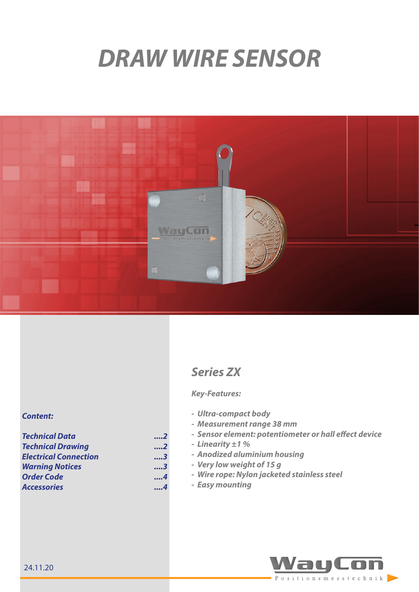# *DRAW WIRE SENSOR*



## *Content:*

| <b>Technical Data</b>        | 2   |  |
|------------------------------|-----|--|
| <b>Technical Drawing</b>     | 2   |  |
| <b>Electrical Connection</b> | 3   |  |
| <b>Warning Notices</b>       | 3   |  |
| <b>Order Code</b>            | 4   |  |
| <b>Accessories</b>           | . 4 |  |

# *Series ZX*

#### *Key-Features:*

- *- Ultra-compact body*
- *- Measurement range 38 mm*
- *- Sensor element: potentiometer or hall effect device*
- *- Linearity ±1 %*
	- *- Anodized aluminium housing*
	- *- Very low weight of 15 g*
	- *- Wire rope: Nylon jacketed stainless steel*
- *- Easy mounting*

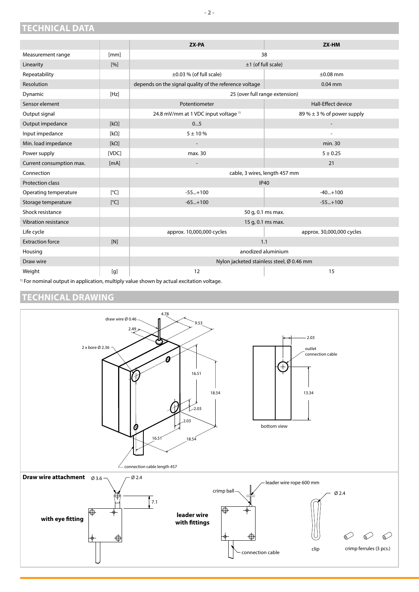#### <span id="page-1-0"></span>**TECHNICAL DATA**

|                          |                    | ZX-PA                                                  | ZX-HM                          |  |
|--------------------------|--------------------|--------------------------------------------------------|--------------------------------|--|
| Measurement range        | [mm]               | 38                                                     |                                |  |
| Linearity                | $\lceil 96 \rceil$ | $±1$ (of full scale)                                   |                                |  |
| Repeatability            |                    | $\pm 0.03$ % (of full scale)                           | $\pm 0.08$ mm                  |  |
| Resolution               |                    | depends on the signal quality of the reference voltage | $0.04$ mm                      |  |
| Dynamic                  | [Hz]               | 25 (over full range extension)                         |                                |  |
| Sensor element           |                    | Potentiometer                                          | Hall-Effect device             |  |
| Output signal            |                    | 24.8 mV/mm at 1 VDC input voltage <sup>1)</sup>        | 89 % $\pm$ 3 % of power supply |  |
| Output impedance         | $[k\Omega]$        | 05                                                     |                                |  |
| Input impedance          | [ $k\Omega$ ]      | $5 + 10%$                                              | ÷                              |  |
| Min. load impedance      | $[k\Omega]$        |                                                        | min. 30                        |  |
| Power supply             | [VDC]              | max. 30                                                | $5 + 0.25$                     |  |
| Current consumption max. | [mA]               | $\overline{\phantom{a}}$                               | 21                             |  |
| Connection               |                    | cable, 3 wires, length 457 mm                          |                                |  |
| <b>Protection class</b>  |                    | <b>IP40</b>                                            |                                |  |
| Operating temperature    | $\lceil^{\circ}$ C | $-55+100$                                              | $-40+100$                      |  |
| Storage temperature      | $\lceil^{\circ}$ C | $-65+100$                                              | $-55+100$                      |  |
| Shock resistance         |                    | 50 g, 0.1 ms max.                                      |                                |  |
| Vibration resistance     |                    | 15 g, 0.1 ms max.                                      |                                |  |
| Life cycle               |                    | approx. 10,000,000 cycles                              | approx. 30,000,000 cycles      |  |
| <b>Extraction force</b>  | [N]                | 1.1                                                    |                                |  |
| Housing                  |                    | anodized aluminium                                     |                                |  |
| Draw wire                |                    | Nylon jacketed stainless steel, Ø 0.46 mm              |                                |  |
| Weight                   | [g]                | 12                                                     | 15                             |  |

<sup>1)</sup> For nominal output in application, multiply value shown by actual excitation voltage.

#### <span id="page-1-1"></span>**TECHNICAL DRAWING**

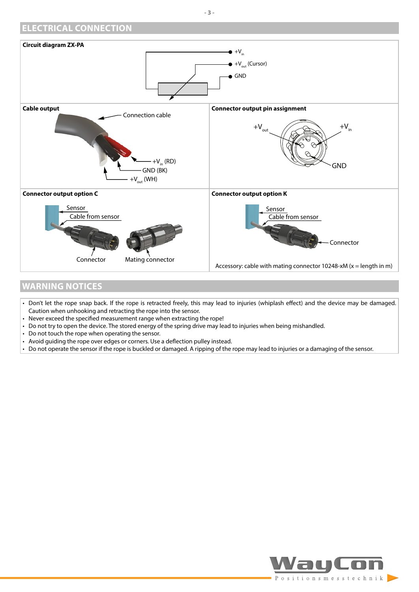<span id="page-2-0"></span>

#### <span id="page-2-1"></span>**WARNING NOTICES**

- Don't let the rope snap back. If the rope is retracted freely, this may lead to injuries (whiplash effect) and the device may be damaged. Caution when unhooking and retracting the rope into the sensor.
- Never exceed the specified measurement range when extracting the rope!
- Do not try to open the device. The stored energy of the spring drive may lead to injuries when being mishandled.
- Do not touch the rope when operating the sensor.
- Avoid guiding the rope over edges or corners. Use a deflection pulley instead.
- Do not operate the sensor if the rope is buckled or damaged. A ripping of the rope may lead to injuries or a damaging of the sensor.